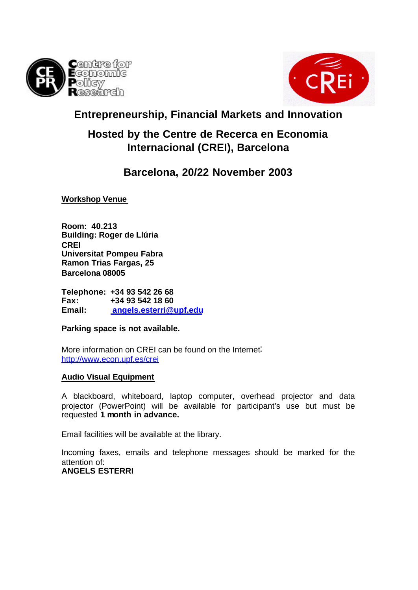



# **Entrepreneurship, Financial Markets and Innovation**

# **Hosted by the Centre de Recerca en Economia Internacional (CREI), Barcelona**

## **Barcelona, 20/22 November 2003**

**Workshop Venue**

**Room: 40.213 Building: Roger de Llúria CREI Universitat Pompeu Fabra Ramon Trias Fargas, 25 Barcelona 08005**

**Telephone: +34 93 542 26 68 Fax: +34 93 542 18 60 Email: angels.esterri@upf.edu**

**Parking space is not available.**

More information on CREI can be found on the Internet: http://www.econ.upf.es/crei

### **Audio Visual Equipment**

A blackboard, whiteboard, laptop computer, overhead projector and data projector (PowerPoint) will be available for participant's use but must be requested **1 month in advance.**

Email facilities will be available at the library.

Incoming faxes, emails and telephone messages should be marked for the attention of:

## **ANGELS ESTERRI**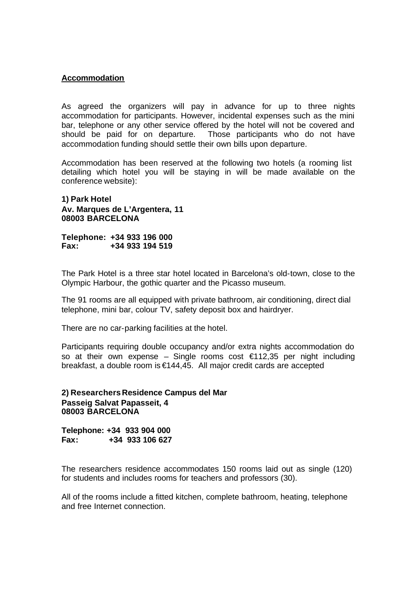#### **Accommodation**

As agreed the organizers will pay in advance for up to three nights accommodation for participants. However, incidental expenses such as the mini bar, telephone or any other service offered by the hotel will not be covered and should be paid for on departure. Those participants who do not have accommodation funding should settle their own bills upon departure.

Accommodation has been reserved at the following two hotels (a rooming list detailing which hotel you will be staying in will be made available on the conference website):

#### **1) Park Hotel Av. Marques de L'Argentera, 11 08003 BARCELONA**

**Telephone: +34 933 196 000 Fax: +34 933 194 519**

The Park Hotel is a three star hotel located in Barcelona's old-town, close to the Olympic Harbour, the gothic quarter and the Picasso museum.

The 91 rooms are all equipped with private bathroom, air conditioning, direct dial telephone, mini bar, colour TV, safety deposit box and hairdryer.

There are no car-parking facilities at the hotel.

Participants requiring double occupancy and/or extra nights accommodation do so at their own expense – Single rooms cost  $\epsilon$ 112,35 per night including breakfast, a double room is €144,45. All major credit cards are accepted

**2) Researchers Residence Campus del Mar Passeig Salvat Papasseit, 4 08003 BARCELONA**

**Telephone: +34 933 904 000 Fax: +34 933 106 627**

The researchers residence accommodates 150 rooms laid out as single (120) for students and includes rooms for teachers and professors (30).

All of the rooms include a fitted kitchen, complete bathroom, heating, telephone and free Internet connection.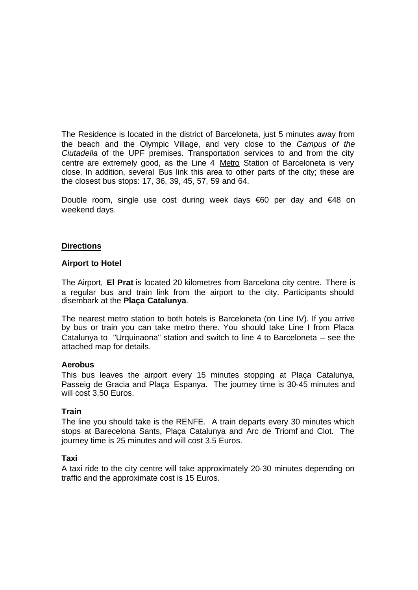The Residence is located in the district of Barceloneta, just 5 minutes away from the beach and the Olympic Village, and very close to the *Campus of the Ciutadella* of the UPF premises. Transportation services to and from the city centre are extremely good, as the Line 4 Metro Station of Barceloneta is very close. In addition, several Bus link this area to other parts of the city; these are the closest bus stops: 17, 36, 39, 45, 57, 59 and 64.

Double room, single use cost during week days €60 per day and €48 on weekend days.

#### **Directions**

#### **Airport to Hotel**

The Airport, **El Prat** is located 20 kilometres from Barcelona city centre. There is a regular bus and train link from the airport to the city. Participants should disembark at the **Plaça Catalunya**.

The nearest metro station to both hotels is Barceloneta (on Line IV). If you arrive by bus or train you can take metro there. You should take Line I from Placa Catalunya to "Urquinaona" station and switch to line 4 to Barceloneta – see the attached map for details.

#### **Aerobus**

This bus leaves the airport every 15 minutes stopping at Plaça Catalunya, Passeig de Gracia and Plaça Espanya. The journey time is 30-45 minutes and will cost 3,50 Euros.

#### **Train**

The line you should take is the RENFE. A train departs every 30 minutes which stops at Barecelona Sants, Plaça Catalunya and Arc de Triomf and Clot. The journey time is 25 minutes and will cost 3.5 Euros.

#### **Taxi**

A taxi ride to the city centre will take approximately 20-30 minutes depending on traffic and the approximate cost is 15 Euros.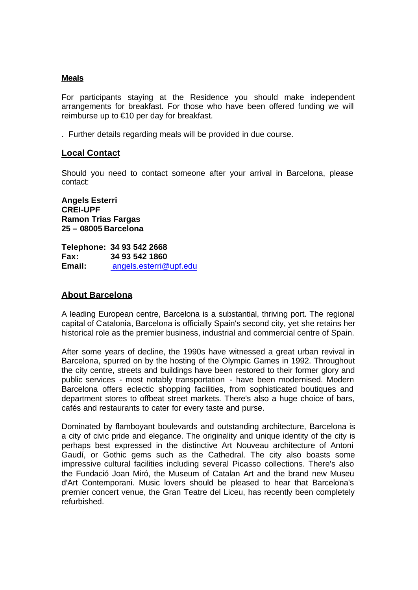#### **Meals**

For participants staying at the Residence you should make independent arrangements for breakfast. For those who have been offered funding we will reimburse up to €10 per day for breakfast.

. Further details regarding meals will be provided in due course.

#### **Local Contact**

Should you need to contact someone after your arrival in Barcelona, please contact:

**Angels Esterri CREI-UPF Ramon Trias Fargas 25 – 08005 Barcelona**

**Telephone: 34 93 542 2668 Fax: 34 93 542 1860 Email:** angels.esterri@upf.edu

#### **About Barcelona**

A leading European centre, Barcelona is a substantial, thriving port. The regional capital of Catalonia, Barcelona is officially Spain's second city, yet she retains her historical role as the premier business, industrial and commercial centre of Spain.

After some years of decline, the 1990s have witnessed a great urban revival in Barcelona, spurred on by the hosting of the Olympic Games in 1992. Throughout the city centre, streets and buildings have been restored to their former glory and public services - most notably transportation - have been modernised. Modern Barcelona offers eclectic shopping facilities, from sophisticated boutiques and department stores to offbeat street markets. There's also a huge choice of bars, cafés and restaurants to cater for every taste and purse.

Dominated by flamboyant boulevards and outstanding architecture, Barcelona is a city of civic pride and elegance. The originality and unique identity of the city is perhaps best expressed in the distinctive Art Nouveau architecture of Antoni Gaudí, or Gothic gems such as the Cathedral. The city also boasts some impressive cultural facilities including several Picasso collections. There's also the Fundació Joan Miró, the Museum of Catalan Art and the brand new Museu d'Art Contemporani. Music lovers should be pleased to hear that Barcelona's premier concert venue, the Gran Teatre del Liceu, has recently been completely refurbished.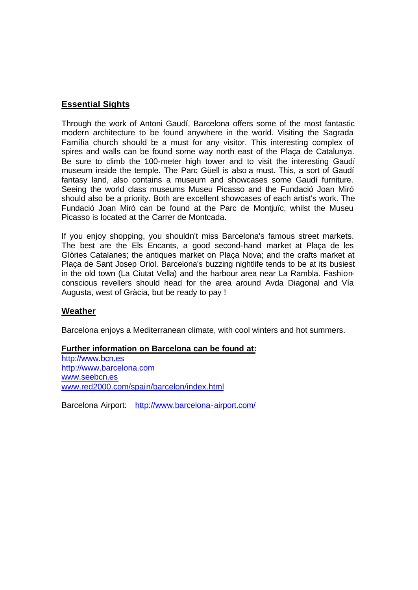### **Essential Sights**

Through the work of Antoni Gaudí, Barcelona offers some of the most fantastic modern architecture to be found anywhere in the world. Visiting the Sagrada Família church should be a must for any visitor. This interesting complex of spires and walls can be found some way north east of the Plaça de Catalunya. Be sure to climb the 100-meter high tower and to visit the interesting Gaudí museum inside the temple. The Parc Güell is also a must. This, a sort of Gaudí fantasy land, also contains a museum and showcases some Gaudí furniture. Seeing the world class museums Museu Picasso and the Fundació Joan Miró should also be a priority. Both are excellent showcases of each artist's work. The Fundació Joan Miró can be found at the Parc de Montjuïc, whilst the Museu Picasso is located at the Carrer de Montcada.

If you enjoy shopping, you shouldn't miss Barcelona's famous street markets. The best are the Els Encants, a good second-hand market at Plaça de les Glòries Catalanes; the antiques market on Plaça Nova; and the crafts market at Plaça de Sant Josep Oriol. Barcelona's buzzing nightlife tends to be at its busiest in the old town (La Ciutat Vella) and the harbour area near La Rambla. Fashionconscious revellers should head for the area around Avda Diagonal and Vía Augusta, west of Gràcia, but be ready to pay !

#### **Weather**

Barcelona enjoys a Mediterranean climate, with cool winters and hot summers.

#### **Further information on Barcelona can be found at:**

http://www.bcn.es http://www.barcelona.com www.seebcn.es www.red2000.com/spain/barcelon/index.html

Barcelona Airport: http://www.barcelona-airport.com/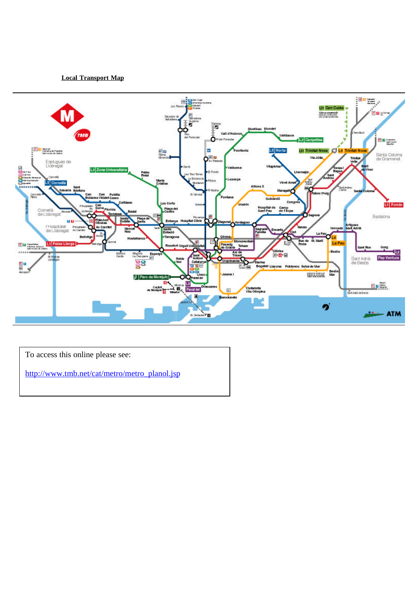**Local Transport Map**



To access this online please see:

http://www.tmb.net/cat/metro/metro\_planol.jsp